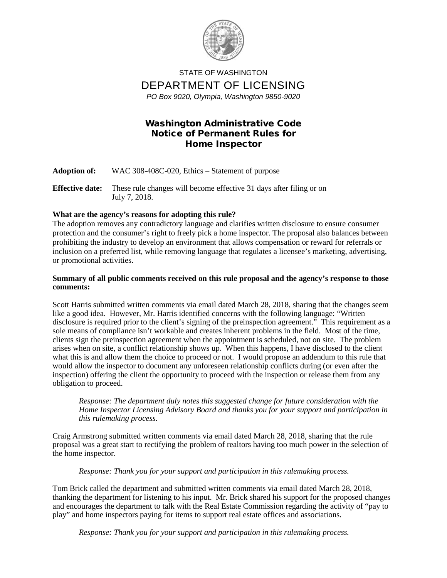

STATE OF WASHINGTON DEPARTMENT OF LICENSING *PO Box 9020, Olympia, Washington 9850-9020*

## Washington Administrative Code Notice of Permanent Rules for Home Inspector

**Adoption of:** WAC 308-408C-020, Ethics – Statement of purpose **Effective date:** These rule changes will become effective 31 days after filing or on July 7, 2018.

## **What are the agency's reasons for adopting this rule?**

The adoption removes any contradictory language and clarifies written disclosure to ensure consumer protection and the consumer's right to freely pick a home inspector. The proposal also balances between prohibiting the industry to develop an environment that allows compensation or reward for referrals or inclusion on a preferred list, while removing language that regulates a licensee's marketing, advertising, or promotional activities.

## **Summary of all public comments received on this rule proposal and the agency's response to those comments:**

Scott Harris submitted written comments via email dated March 28, 2018, sharing that the changes seem like a good idea. However, Mr. Harris identified concerns with the following language: "Written disclosure is required prior to the client's signing of the preinspection agreement." This requirement as a sole means of compliance isn't workable and creates inherent problems in the field. Most of the time, clients sign the preinspection agreement when the appointment is scheduled, not on site. The problem arises when on site, a conflict relationship shows up. When this happens, I have disclosed to the client what this is and allow them the choice to proceed or not. I would propose an addendum to this rule that would allow the inspector to document any unforeseen relationship conflicts during (or even after the inspection) offering the client the opportunity to proceed with the inspection or release them from any obligation to proceed.

*Response: The department duly notes this suggested change for future consideration with the Home Inspector Licensing Advisory Board and thanks you for your support and participation in this rulemaking process.* 

Craig Armstrong submitted written comments via email dated March 28, 2018, sharing that the rule proposal was a great start to rectifying the problem of realtors having too much power in the selection of the home inspector.

*Response: Thank you for your support and participation in this rulemaking process.*

Tom Brick called the department and submitted written comments via email dated March 28, 2018, thanking the department for listening to his input. Mr. Brick shared his support for the proposed changes and encourages the department to talk with the Real Estate Commission regarding the activity of "pay to play" and home inspectors paying for items to support real estate offices and associations.

*Response: Thank you for your support and participation in this rulemaking process.*